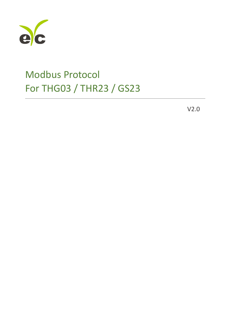

V2.0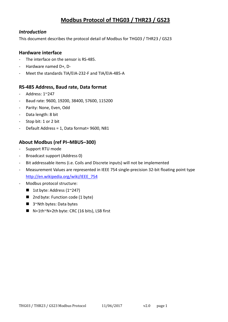#### *Introduction*

This document describes the protocol detail of Modbus for THG03 / THR23 / GS23

#### **Hardware interface**

- The interface on the sensor is RS-485.
- Hardware named D+, D-
- Meet the standards TIA/EIA-232-F and TIA/EIA-485-A

#### **RS-485 Address, Baud rate, Data format**

- Address: 1~247
- Baud rate: 9600, 19200, 38400, 57600, 115200
- Parity: None, Even, Odd
- Data length: 8 bit
- Stop bit: 1 or 2 bit
- Default Address = 1, Data format= 9600, N81

### **About Modbus (ref PI–MBUS–300)**

- Support RTU mode
- Broadcast support (Address 0)
- Bit addressable items (i.e. Coils and Discrete inputs) will not be implemented
- Measurement Values are represented in IEEE 754 single-precision 32-bit floating point type [http://en.wikipedia.org/wiki/IEEE\\_754](http://en.wikipedia.org/wiki/IEEE_754)
- Modbus protocol structure:
	- **1st byte: Address (1~247)**
	- 2nd byte: Function code (1 byte)
	- 3~Nth bytes: Data bytes
	- $\blacksquare$  N+1th~N+2th byte: CRC (16 bits), LSB first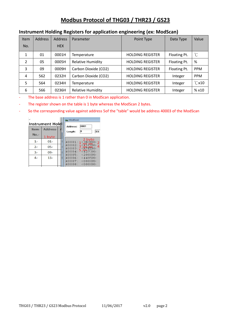| <b>Item</b>    | <b>Address</b> | <b>Address</b> | Parameter                | Point Type              | Data Type    | Value           |
|----------------|----------------|----------------|--------------------------|-------------------------|--------------|-----------------|
| No.            |                | <b>HEX</b>     |                          |                         |              |                 |
| 1              | 01             | 0001H          | Temperature              | <b>HOLDING REGISTER</b> | Floating Pt. | $^{\circ}C$     |
| $\overline{2}$ | 05             | 0005H          | <b>Relative Humidity</b> | <b>HOLDING REGISTER</b> | Floating Pt. | %               |
| 3              | 09             | 0009H          | Carbon Dioxide (CO2)     | <b>HOLDING REGISTER</b> | Floating Pt. | <b>PPM</b>      |
| 4              | 562            | 0232H          | Carbon Dioxide (CO2)     | <b>HOLDING REGISTER</b> | Integer      | <b>PPM</b>      |
| 5              | 564            | 0234H          | Temperature              | <b>HOLDING REGISTER</b> | Integer      | $\degree$ C x10 |
| 6              | 566            | 0236H          | <b>Relative Humidity</b> | <b>HOLDING REGISTER</b> | Integer      | % x10           |

#### **Instrument Holding Registers for application engineering (ex: ModScan)**

- The base address is 1 rather than 0 in ModScan application.

- The register shown on the table is 1 byte whereas the ModScan 2 bytes.

- So the corresponding value against address 5of the "table" would be address 40003 of the ModScan

| ته                     |                |  | ModSca1                                                                 |
|------------------------|----------------|--|-------------------------------------------------------------------------|
| <b>Instrument Hold</b> |                |  | 0001<br>Address:                                                        |
| Item-                  | <b>Address</b> |  | 8<br>03:<br>Length:                                                     |
| No.                    | 1 byte         |  |                                                                         |
| $1 \circ$              | $01\circ$      |  | $2$ byte<br>40001:1<3B3EH>                                              |
| 2e                     | 05e            |  | $40002:3 \times 41 \text{COH}$<br>$40003:2 \times \text{ATEDH}$         |
| $3\sigma$              | 09e            |  | $5\langle 4273H \rangle$<br>40004:<br>40005:<br>$\langle 2000H \rangle$ |
| $4\phi$                | $13\degree$    |  | 40006:<br><4495H                                                        |
|                        |                |  | 40007:<br>$\langle 0000H \rangle$<br>40008:<br><0000H                   |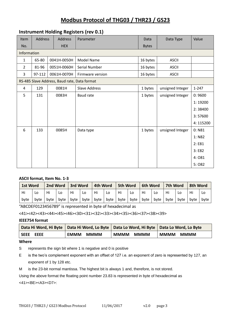#### **Instrument Holding Registers (rev 0.1)**

| Item           | Address | <b>Address</b> | Parameter                                    | <b>Data</b>  | Data Type        | Value     |
|----------------|---------|----------------|----------------------------------------------|--------------|------------------|-----------|
| No.            |         | <b>HEX</b>     |                                              | <b>Bytes</b> |                  |           |
| Information    |         |                |                                              |              |                  |           |
| $\mathbf{1}$   | 65-80   | 0041H-0050H    | <b>Model Name</b>                            | 16 bytes     | <b>ASCII</b>     |           |
| $\overline{2}$ | 81-96   | 0051H-0060H    | Serial Number                                | 16 bytes     | <b>ASCII</b>     |           |
| 3              | 97-112  | 0061H-0070H    | Firmware version                             | 16 bytes     | <b>ASCII</b>     |           |
|                |         |                | RS-485 Slave Address, Baud rate, Data format |              |                  |           |
| 4              | 129     | 0081H          | <b>Slave Address</b>                         | 1 bytes      | unsigned Integer | $1 - 247$ |
| 5              | 131     | 0083H          | <b>Baud rate</b>                             | 1 bytes      | unsigned Integer | 0:9600    |
|                |         |                |                                              |              |                  | 1:19200   |
|                |         |                |                                              |              |                  | 2:38400   |
|                |         |                |                                              |              |                  | 3:57600   |
|                |         |                |                                              |              |                  | 4:115200  |
| 6              | 133     | 0085H          | Data type                                    | 1 bytes      | unsigned Integer | 0: N81    |
|                |         |                |                                              |              |                  | 1: N82    |
|                |         |                |                                              |              |                  | 2: E81    |
|                |         |                |                                              |              |                  | 3: E82    |
|                |         |                |                                              |              |                  | 4:081     |
|                |         |                |                                              |              |                  | 5:082     |

#### **ASCII format, Item No. 1-3**

| 1st Word |      | 2nd Word |           | 3rd Word |    | 4th Word                       |    | 5th Word              |     | <b>6th Word</b> |      | 7th Word |      | 8th Word |      |
|----------|------|----------|-----------|----------|----|--------------------------------|----|-----------------------|-----|-----------------|------|----------|------|----------|------|
| Hi       | LO   | Hi       | Lo        | Hi       | Lo | Hi                             | Lo | Hi                    | Lo. | Hi              |      | Hi       | LO   | Hi       | Lo   |
| byte     | byte |          | byte byte | byte     |    | $ $ byte $ $ byte $ $ byte $ $ |    | $ $ byte $ $ byte $ $ |     | byte            | byte | byte     | byte | byte     | byte |

"ABCDEF0123456789" is represented in byte of hexadecimal as

<41><42><43><44><45><46><30><31><32><33><34><35><36><37><38><39>

#### **IEEE754 format**

|             | Data Hi Word, Hi Byte   Data Hi Word, Lo Byte   Data Lo Word, Hi Byte   Data Lo Word, Lo Byte |             |             |  |
|-------------|-----------------------------------------------------------------------------------------------|-------------|-------------|--|
| l seee eeee | <b>EMMM</b>                                                                                   | <b>MMMM</b> | <b>MMMM</b> |  |
|             | <b>MMMM</b>                                                                                   | <b>MMMM</b> | <b>MMMM</b> |  |

#### **Where**

S represents the sign bit where 1 is negative and 0 is positive

E is the two's complement exponent with an offset of 127 i.e. an exponent of zero is represented by 127, an exponent of 1 by 128 etc.

M is the 23-bit normal mantissa. The highest bit is always 1 and, therefore, is not stored.

Using the above format the floating point number 23.83 is represented in byte of hexadecimal as <41><BE><A3><D7>:

THG03 / THR23 / GS23 Modbus Protocol 11/06/2017 v2.0 page 3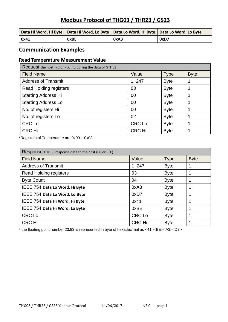| Data Hi Word, Hi Byte   Data Hi Word, Lo Byte   Data Lo Word, Hi Byte   Data Lo Word, Lo Byte |             |      |      |
|-----------------------------------------------------------------------------------------------|-------------|------|------|
| 0x41                                                                                          | <b>OxBE</b> | 0xA3 | 0xD7 |

### **Communication Examples**

#### **Read Temperature Measurement Value**

| Request the host (PC or PLC) to polling the data of GTH53 |               |             |             |  |  |  |
|-----------------------------------------------------------|---------------|-------------|-------------|--|--|--|
| <b>Field Name</b>                                         | Value         | Type        | <b>Byte</b> |  |  |  |
| <b>Address of Transmit</b>                                | $1 - 247$     | <b>Byte</b> |             |  |  |  |
| <b>Read Holding registers</b>                             | 03            | <b>Byte</b> |             |  |  |  |
| <b>Starting Address Hi</b>                                | 00            | <b>Byte</b> | 1           |  |  |  |
| <b>Starting Address Lo</b>                                | 00            | <b>Byte</b> | 1           |  |  |  |
| No. of registers Hi                                       | 00            | <b>Byte</b> | 1           |  |  |  |
| No. of registers Lo                                       | 02            | <b>Byte</b> | 1           |  |  |  |
| CRC Lo                                                    | <b>CRC Lo</b> | <b>Byte</b> | 1           |  |  |  |
| <b>CRC Hi</b>                                             | <b>CRC Hi</b> | <b>Byte</b> | 1           |  |  |  |

\*Registers of Temperature are 0x00 ~ 0x03

| Response GTH53 response data to the host (PC or PLC) |               |             |             |  |  |  |
|------------------------------------------------------|---------------|-------------|-------------|--|--|--|
| <b>Field Name</b>                                    | Value         | <b>Type</b> | <b>Byte</b> |  |  |  |
| <b>Address of Transmit</b>                           | $1 - 247$     | <b>Byte</b> |             |  |  |  |
| <b>Read Holding registers</b>                        | 03            | <b>Byte</b> |             |  |  |  |
| <b>Byte Count</b>                                    | 04            | <b>Byte</b> |             |  |  |  |
| IEEE 754 Data Lo Word, Hi Byte                       | 0xA3          | <b>Byte</b> |             |  |  |  |
| IEEE 754 Data Lo Word, Lo Byte                       | 0xD7          | <b>Byte</b> | 1           |  |  |  |
| IEEE 754 Data Hi Word, Hi Byte                       | 0x41          | <b>Byte</b> |             |  |  |  |
| IEEE 754 Data Hi Word, Lo Byte                       | 0xBE          | <b>Byte</b> | 1           |  |  |  |
| <b>CRC Lo</b>                                        | <b>CRC</b> Lo | <b>Byte</b> |             |  |  |  |
| <b>CRC Hi</b>                                        | <b>CRC Hi</b> | <b>Byte</b> |             |  |  |  |

\* the floating point number 23.83 is represented in byte of hexadecimal as <41><BE><A3><D7>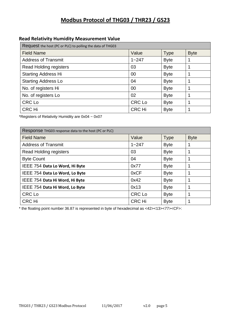### **Read Relativity Humidity Measurement Value**

| Request the host (PC or PLC) to polling the data of THG03 |               |             |             |  |  |  |
|-----------------------------------------------------------|---------------|-------------|-------------|--|--|--|
| <b>Field Name</b>                                         | Value         | <b>Type</b> | <b>Byte</b> |  |  |  |
| <b>Address of Transmit</b>                                | $1 - 247$     | <b>Byte</b> | 1           |  |  |  |
| <b>Read Holding registers</b>                             | 03            | <b>Byte</b> | 1           |  |  |  |
| <b>Starting Address Hi</b>                                | 00            | <b>Byte</b> | 1           |  |  |  |
| <b>Starting Address Lo</b>                                | 04            | <b>Byte</b> |             |  |  |  |
| No. of registers Hi                                       | 00            | <b>Byte</b> | 1           |  |  |  |
| No. of registers Lo                                       | 02            | <b>Byte</b> | 1           |  |  |  |
| CRC Lo                                                    | <b>CRC Lo</b> | <b>Byte</b> | 1           |  |  |  |
| CRC Hi                                                    | <b>CRC Hi</b> | <b>Byte</b> | 1           |  |  |  |

\*Registers of Relativity Humidity are 0x04 ~ 0x07

| Response THG03 response data to the host (PC or PLC) |               |             |             |  |  |  |
|------------------------------------------------------|---------------|-------------|-------------|--|--|--|
| <b>Field Name</b>                                    | Value         | <b>Type</b> | <b>Byte</b> |  |  |  |
| <b>Address of Transmit</b>                           | $1 - 247$     | <b>Byte</b> |             |  |  |  |
| <b>Read Holding registers</b>                        | 03            | <b>Byte</b> |             |  |  |  |
| <b>Byte Count</b>                                    | 04            | <b>Byte</b> | 1           |  |  |  |
| IEEE 754 Data Lo Word, Hi Byte                       | 0x77          | <b>Byte</b> | 1           |  |  |  |
| IEEE 754 Data Lo Word, Lo Byte                       | 0xCF          | <b>Byte</b> | 1           |  |  |  |
| IEEE 754 Data Hi Word, Hi Byte                       | 0x42          | <b>Byte</b> | 1           |  |  |  |
| IEEE 754 Data Hi Word, Lo Byte                       | 0x13          | <b>Byte</b> | 1           |  |  |  |
| <b>CRC</b> Lo                                        | <b>CRC Lo</b> | <b>Byte</b> | 1           |  |  |  |
| <b>CRC Hi</b>                                        | <b>CRC Hi</b> | <b>Byte</b> | 1           |  |  |  |

\* the floating point number 36.87 is represented in byte of hexadecimal as <42><13><77><CF>: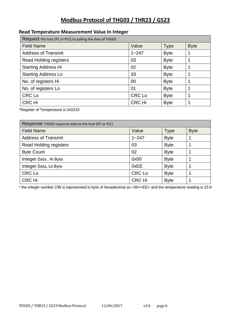#### **Read Temperature Measurement Value In Integer**

| Request the host (PC or PLC) to polling the data of THG03 |               |             |             |  |  |  |
|-----------------------------------------------------------|---------------|-------------|-------------|--|--|--|
| <b>Field Name</b>                                         | Value         | <b>Type</b> | <b>Byte</b> |  |  |  |
| <b>Address of Transmit</b>                                | $1 - 247$     | <b>Byte</b> | 1           |  |  |  |
| Read Holding registers                                    | 03            | <b>Byte</b> | 1           |  |  |  |
| <b>Starting Address Hi</b>                                | 02            | <b>Byte</b> |             |  |  |  |
| <b>Starting Address Lo</b>                                | 33            | <b>Byte</b> | 1           |  |  |  |
| No. of registers Hi                                       | 00            | <b>Byte</b> | 1           |  |  |  |
| No. of registers Lo                                       | 01            | <b>Byte</b> | 1           |  |  |  |
| <b>CRC Lo</b>                                             | <b>CRC Lo</b> | <b>Byte</b> |             |  |  |  |
| CRC Hi                                                    | <b>CRC Hi</b> | <b>Byte</b> | 1           |  |  |  |

\*Register of Temperature is 0x0233

| Response THG03 response data to the host (PC or PLC) |               |             |             |  |  |  |
|------------------------------------------------------|---------------|-------------|-------------|--|--|--|
| <b>Field Name</b>                                    | Value         | <b>Type</b> | <b>Byte</b> |  |  |  |
| <b>Address of Transmit</b>                           | $1 - 247$     | <b>Byte</b> |             |  |  |  |
| <b>Read Holding registers</b>                        | 03            | <b>Byte</b> |             |  |  |  |
| <b>Byte Count</b>                                    | 02            | <b>Byte</b> |             |  |  |  |
| Integer Data, Hi Byte                                | 0x00          | <b>Byte</b> |             |  |  |  |
| Integer Data, Lo Byte                                | 0xEE          | <b>Byte</b> |             |  |  |  |
| <b>CRC Lo</b>                                        | <b>CRC Lo</b> | <b>Byte</b> |             |  |  |  |
| <b>CRC Hi</b>                                        | <b>CRC Hi</b> | <b>Byte</b> |             |  |  |  |

\* the integer number 238 is represented in byte of hexadecimal as <00><EE> and the temperature reading is 23.8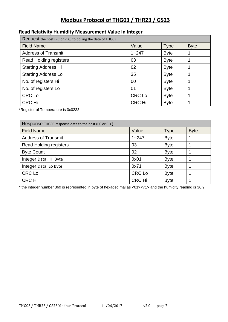#### **Read Relativity Humidity Measurement Value In Integer**

| Request the host (PC or PLC) to polling the data of THG03 |               |             |             |
|-----------------------------------------------------------|---------------|-------------|-------------|
| <b>Field Name</b>                                         | Value         | <b>Type</b> | <b>Byte</b> |
| <b>Address of Transmit</b>                                | $1 - 247$     | <b>Byte</b> |             |
| Read Holding registers                                    | 03            | <b>Byte</b> | 1           |
| <b>Starting Address Hi</b>                                | 02            | <b>Byte</b> |             |
| <b>Starting Address Lo</b>                                | 35            | <b>Byte</b> | 1           |
| No. of registers Hi                                       | 00            | <b>Byte</b> | 1           |
| No. of registers Lo                                       | 01            | <b>Byte</b> | 1           |
| <b>CRC Lo</b>                                             | <b>CRC Lo</b> | <b>Byte</b> | 1           |
| <b>CRC Hi</b>                                             | <b>CRC Hi</b> | <b>Byte</b> | 1           |

\*Register of Temperature is 0x0233

| Response THG03 response data to the host (PC or PLC) |               |             |             |
|------------------------------------------------------|---------------|-------------|-------------|
| <b>Field Name</b>                                    | Value         | <b>Type</b> | <b>Byte</b> |
| <b>Address of Transmit</b>                           | $1 - 247$     | <b>Byte</b> |             |
| Read Holding registers                               | 03            | <b>Byte</b> |             |
| <b>Byte Count</b>                                    | 02            | <b>Byte</b> |             |
| Integer Data, Hi Byte                                | 0x01          | <b>Byte</b> |             |
| Integer Data, Lo Byte                                | 0x71          | <b>Byte</b> |             |
| <b>CRC Lo</b>                                        | <b>CRC Lo</b> | <b>Byte</b> |             |
| <b>CRC Hi</b>                                        | <b>CRC Hi</b> | <b>Byte</b> |             |

\* the integer number 369 is represented in byte of hexadecimal as <01><71> and the humidity reading is 36.9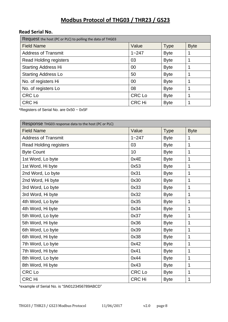#### **Read Serial No.**

| Request the host (PC or PLC) to polling the data of THG03 |               |             |             |
|-----------------------------------------------------------|---------------|-------------|-------------|
| <b>Field Name</b>                                         | Value         | <b>Type</b> | <b>Byte</b> |
| <b>Address of Transmit</b>                                | $1 - 247$     | <b>Byte</b> | 1           |
| <b>Read Holding registers</b>                             | 03            | <b>Byte</b> | 1           |
| <b>Starting Address Hi</b>                                | 00            | <b>Byte</b> | 1           |
| <b>Starting Address Lo</b>                                | 50            | <b>Byte</b> | 1           |
| No. of registers Hi                                       | 00            | <b>Byte</b> | 1           |
| No. of registers Lo                                       | 08            | <b>Byte</b> | 1           |
| CRC Lo                                                    | <b>CRC Lo</b> | <b>Byte</b> |             |
| <b>CRC Hi</b>                                             | <b>CRC Hi</b> | <b>Byte</b> | 1           |

\*Registers of Serial No. are 0x50 ~ 0x5F

| Response THG03 response data to the host (PC or PLC) |               |             |             |
|------------------------------------------------------|---------------|-------------|-------------|
| <b>Field Name</b>                                    | Value         | <b>Type</b> | <b>Byte</b> |
| <b>Address of Transmit</b>                           | $1 - 247$     | <b>Byte</b> | 1           |
| <b>Read Holding registers</b>                        | 03            | <b>Byte</b> | 1           |
| <b>Byte Count</b>                                    | 10            | <b>Byte</b> | 1           |
| 1st Word, Lo byte                                    | 0x4E          | <b>Byte</b> | 1           |
| 1st Word, Hi byte                                    | 0x53          | <b>Byte</b> | 1           |
| 2nd Word, Lo byte                                    | 0x31          | <b>Byte</b> | 1           |
| 2nd Word, Hi byte                                    | 0x30          | <b>Byte</b> | 1           |
| 3rd Word, Lo byte                                    | 0x33          | <b>Byte</b> | 1           |
| 3rd Word, Hi byte                                    | 0x32          | <b>Byte</b> | 1           |
| 4th Word, Lo byte                                    | 0x35          | <b>Byte</b> | 1           |
| 4th Word, Hi byte                                    | 0x34          | <b>Byte</b> | 1           |
| 5th Word, Lo byte                                    | 0x37          | <b>Byte</b> | 1           |
| 5th Word, Hi byte                                    | 0x36          | <b>Byte</b> | 1           |
| 6th Word, Lo byte                                    | 0x39          | <b>Byte</b> | 1           |
| 6th Word, Hi byte                                    | 0x38          | <b>Byte</b> | 1           |
| 7th Word, Lo byte                                    | 0x42          | <b>Byte</b> | 1           |
| 7th Word, Hi byte                                    | 0x41          | <b>Byte</b> | 1           |
| 8th Word, Lo byte                                    | 0x44          | <b>Byte</b> | 1           |
| 8th Word, Hi byte                                    | 0x43          | <b>Byte</b> | 1           |
| <b>CRC Lo</b>                                        | <b>CRC Lo</b> | <b>Byte</b> | 1           |
| <b>CRC Hi</b>                                        | <b>CRC Hi</b> | <b>Byte</b> | 1           |

\*example of Serial No. is "SN0123456789ABCD"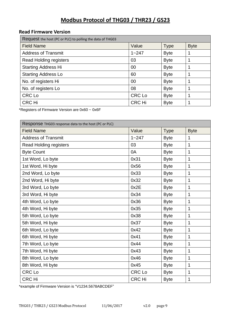#### **Read Firmware Version**

| Request the host (PC or PLC) to polling the data of THG03 |               |             |             |
|-----------------------------------------------------------|---------------|-------------|-------------|
| <b>Field Name</b>                                         | Value         | <b>Type</b> | <b>Byte</b> |
| <b>Address of Transmit</b>                                | $1 - 247$     | <b>Byte</b> | 1           |
| Read Holding registers                                    | 03            | <b>Byte</b> | 1           |
| <b>Starting Address Hi</b>                                | 00            | <b>Byte</b> | 1           |
| <b>Starting Address Lo</b>                                | 60            | <b>Byte</b> | 1           |
| No. of registers Hi                                       | 00            | <b>Byte</b> | 1           |
| No. of registers Lo                                       | 08            | <b>Byte</b> | 1           |
| <b>CRC Lo</b>                                             | <b>CRC Lo</b> | <b>Byte</b> |             |
| <b>CRC Hi</b>                                             | <b>CRC Hi</b> | <b>Byte</b> | 1           |

\*Registers of Firmware Version are 0x60 ~ 0x6F

| Response THG03 response data to the host (PC or PLC) |               |             |                |
|------------------------------------------------------|---------------|-------------|----------------|
| <b>Field Name</b>                                    | Value         | <b>Type</b> | <b>Byte</b>    |
| <b>Address of Transmit</b>                           | $1 - 247$     | <b>Byte</b> | 1              |
| <b>Read Holding registers</b>                        | 03            | <b>Byte</b> | 1              |
| <b>Byte Count</b>                                    | 0A            | <b>Byte</b> | 1              |
| 1st Word, Lo byte                                    | 0x31          | <b>Byte</b> | 1              |
| 1st Word, Hi byte                                    | 0x56          | <b>Byte</b> | 1              |
| 2nd Word, Lo byte                                    | 0x33          | <b>Byte</b> | 1              |
| 2nd Word, Hi byte                                    | 0x32          | <b>Byte</b> | 1              |
| 3rd Word, Lo byte                                    | 0x2E          | <b>Byte</b> | 1              |
| 3rd Word, Hi byte                                    | 0x34          | <b>Byte</b> | $\overline{1}$ |
| 4th Word, Lo byte                                    | 0x36          | <b>Byte</b> | 1              |
| 4th Word, Hi byte                                    | 0x35          | <b>Byte</b> | 1              |
| 5th Word, Lo byte                                    | 0x38          | <b>Byte</b> | 1              |
| 5th Word, Hi byte                                    | 0x37          | <b>Byte</b> | 1              |
| 6th Word, Lo byte                                    | 0x42          | <b>Byte</b> | 1              |
| 6th Word, Hi byte                                    | 0x41          | <b>Byte</b> | 1              |
| 7th Word, Lo byte                                    | 0x44          | <b>Byte</b> | 1              |
| 7th Word, Hi byte                                    | 0x43          | <b>Byte</b> | 1              |
| 8th Word, Lo byte                                    | 0x46          | <b>Byte</b> | 1              |
| 8th Word, Hi byte                                    | 0x45          | <b>Byte</b> | 1              |
| <b>CRC</b> Lo                                        | <b>CRC</b> Lo | <b>Byte</b> | 1              |
| <b>CRC Hi</b>                                        | <b>CRC Hi</b> | <b>Byte</b> | 1              |

\*example of Firmware Version is "V1234.5678ABCDEF"